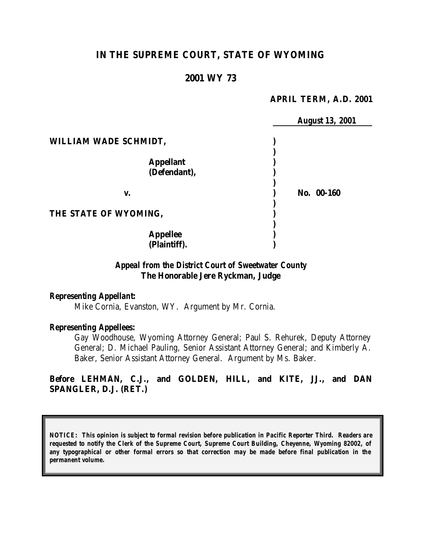# **IN THE SUPREME COURT, STATE OF WYOMING**

## **2001 WY 73**

#### **APRIL TERM, A.D. 2001**

|                       | <b>August 13, 2001</b> |
|-----------------------|------------------------|
| WILLIAM WADE SCHMIDT, |                        |
|                       |                        |
| <b>Appellant</b>      |                        |
| (Defendant),          |                        |
|                       |                        |
| v.                    | No. 00-160             |
|                       |                        |
| THE STATE OF WYOMING, |                        |
|                       |                        |
| <b>Appellee</b>       |                        |
| (Plaintiff).          |                        |

## *Appeal from the District Court of Sweetwater County* **The Honorable Jere Ryckman, Judge**

### *Representing Appellant:*

Mike Cornia, Evanston, WY. Argument by Mr. Cornia.

### *Representing Appellees:*

Gay Woodhouse, Wyoming Attorney General; Paul S. Rehurek, Deputy Attorney General; D. Michael Pauling, Senior Assistant Attorney General; and Kimberly A. Baker, Senior Assistant Attorney General. Argument by Ms. Baker.

# **Before LEHMAN, C.J., and GOLDEN, HILL, and KITE, JJ., and DAN SPANGLER, D.J. (RET.)**

*NOTICE: This opinion is subject to formal revision before publication in Pacific Reporter Third. Readers are requested to notify the Clerk of the Supreme Court, Supreme Court Building, Cheyenne, Wyoming 82002, of any typographical or other formal errors so that correction may be made before final publication in the permanent volume.*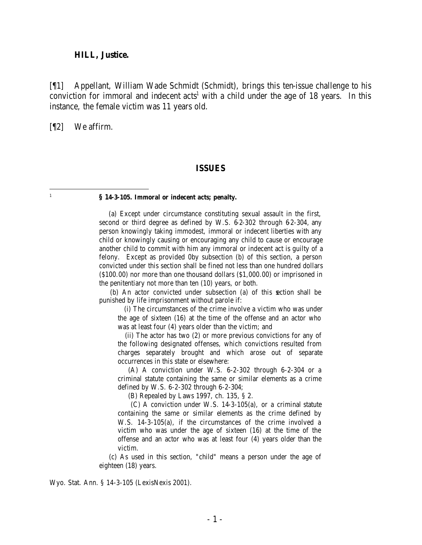#### **HILL, Justice.**

[¶1] Appellant, William Wade Schmidt (Schmidt), brings this ten-issue challenge to his conviction for immoral and indecent  $acts<sup>1</sup>$  with a child under the age of 18 years. In this instance, the female victim was 11 years old.

[¶2] We affirm.

 1

#### **ISSUES**

#### **§ 14-3-105. Immoral or indecent acts; penalty.**

 (a) Except under circumstance constituting sexual assault in the first, second or third degree as defined by W.S. 6-2-302 through 6-2-304, any person knowingly taking immodest, immoral or indecent liberties with any child or knowingly causing or encouraging any child to cause or encourage another child to commit with him any immoral or indecent act is guilty of a felony. Except as provided 0by subsection (b) of this section, a person convicted under this section shall be fined not less than one hundred dollars (\$100.00) nor more than one thousand dollars (\$1,000.00) or imprisoned in the penitentiary not more than ten (10) years, or both.

 (b) An actor convicted under subsection (a) of this section shall be punished by life imprisonment without parole if:

 (i) The circumstances of the crime involve a victim who was under the age of sixteen (16) at the time of the offense and an actor who was at least four (4) years older than the victim; and

 (ii) The actor has two (2) or more previous convictions for any of the following designated offenses, which convictions resulted from charges separately brought and which arose out of separate occurrences in this state or elsewhere:

 (A) A conviction under W.S. 6-2-302 through 6-2-304 or a criminal statute containing the same or similar elements as a crime defined by W.S. 6-2-302 through 6-2-304;

(B) Repealed by Laws 1997, ch. 135, § 2.

 (C) A conviction under W.S. 14-3-105(a), or a criminal statute containing the same or similar elements as the crime defined by W.S. 14-3-105(a), if the circumstances of the crime involved a victim who was under the age of sixteen (16) at the time of the offense and an actor who was at least four (4) years older than the victim.

 (c) As used in this section, "child" means a person under the age of eighteen (18) years.

Wyo. Stat. Ann. § 14-3-105 (LexisNexis 2001).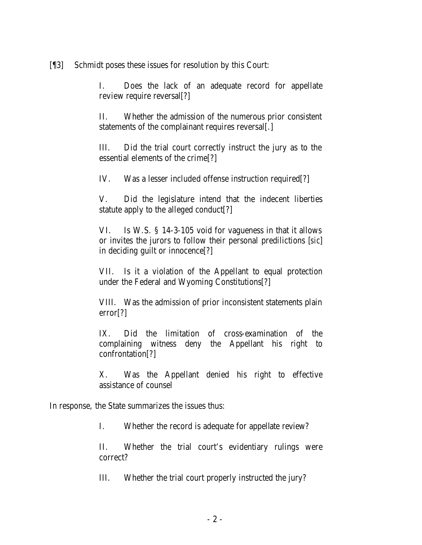[¶3] Schmidt poses these issues for resolution by this Court:

I. Does the lack of an adequate record for appellate review require reversal[?]

II. Whether the admission of the numerous prior consistent statements of the complainant requires reversal[.]

III. Did the trial court correctly instruct the jury as to the essential elements of the crime[?]

IV. Was a lesser included offense instruction required[?]

V. Did the legislature intend that the indecent liberties statute apply to the alleged conduct[?]

VI. Is W.S. § 14-3-105 void for vagueness in that it allows or invites the jurors to follow their personal predilictions [*sic*] in deciding guilt or innocence[?]

VII. Is it a violation of the Appellant to equal protection under the Federal and Wyoming Constitutions[?]

VIII. Was the admission of prior inconsistent statements plain error[?]

IX. Did the limitation of cross-examination of the complaining witness deny the Appellant his right to confrontation[?]

X. Was the Appellant denied his right to effective assistance of counsel

In response, the State summarizes the issues thus:

I. Whether the record is adequate for appellate review?

II. Whether the trial court's evidentiary rulings were correct?

III. Whether the trial court properly instructed the jury?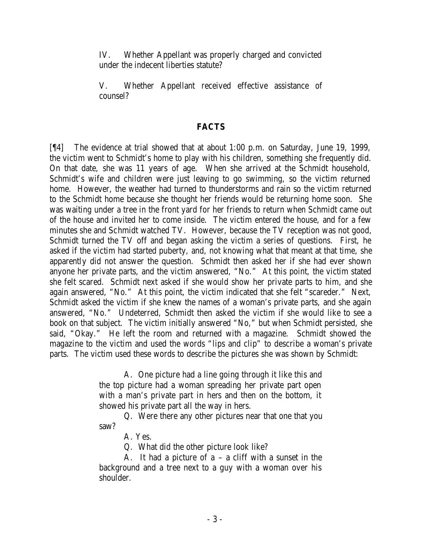IV. Whether Appellant was properly charged and convicted under the indecent liberties statute?

V. Whether Appellant received effective assistance of counsel?

## **FACTS**

[¶4] The evidence at trial showed that at about 1:00 p.m. on Saturday, June 19, 1999, the victim went to Schmidt's home to play with his children, something she frequently did. On that date, she was 11 years of age. When she arrived at the Schmidt household, Schmidt's wife and children were just leaving to go swimming, so the victim returned home. However, the weather had turned to thunderstorms and rain so the victim returned to the Schmidt home because she thought her friends would be returning home soon. She was waiting under a tree in the front yard for her friends to return when Schmidt came out of the house and invited her to come inside. The victim entered the house, and for a few minutes she and Schmidt watched TV. However, because the TV reception was not good, Schmidt turned the TV off and began asking the victim a series of questions. First, he asked if the victim had started puberty, and, not knowing what that meant at that time, she apparently did not answer the question. Schmidt then asked her if she had ever shown anyone her private parts, and the victim answered, "No." At this point, the victim stated she felt scared. Schmidt next asked if she would show her private parts to him, and she again answered, "No." At this point, the victim indicated that she felt "scareder." Next, Schmidt asked the victim if she knew the names of a woman's private parts, and she again answered, "No." Undeterred, Schmidt then asked the victim if she would like to see a book on that subject. The victim initially answered "No," but when Schmidt persisted, she said, "Okay." He left the room and returned with a magazine. Schmidt showed the magazine to the victim and used the words "lips and clip" to describe a woman's private parts. The victim used these words to describe the pictures she was shown by Schmidt:

> A. One picture had a line going through it like this and the top picture had a woman spreading her private part open with a man's private part in hers and then on the bottom, it showed his private part all the way in hers.

> Q. Were there any other pictures near that one that you saw?

> > A. Yes.

Q. What did the other picture look like?

A. It had a picture of a – a cliff with a sunset in the background and a tree next to a guy with a woman over his shoulder.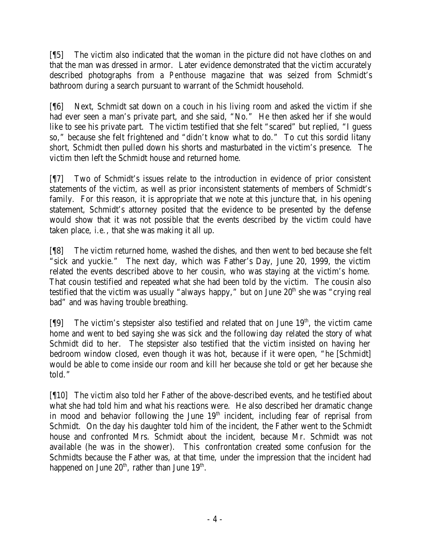[¶5] The victim also indicated that the woman in the picture did not have clothes on and that the man was dressed in armor. Later evidence demonstrated that the victim accurately described photographs from a *Penthouse* magazine that was seized from Schmidt's bathroom during a search pursuant to warrant of the Schmidt household.

[¶6] Next, Schmidt sat down on a couch in his living room and asked the victim if she had ever seen a man's private part, and she said, "No." He then asked her if she would like to see his private part. The victim testified that she felt "scared" but replied, "I guess so," because she felt frightened and "didn't know what to do." To cut this sordid litany short, Schmidt then pulled down his shorts and masturbated in the victim's presence. The victim then left the Schmidt house and returned home.

[¶7] Two of Schmidt's issues relate to the introduction in evidence of prior consistent statements of the victim, as well as prior inconsistent statements of members of Schmidt's family. For this reason, it is appropriate that we note at this juncture that, in his opening statement, Schmidt's attorney posited that the evidence to be presented by the defense would show that it was not possible that the events described by the victim could have taken place, *i.e.*, that she was making it all up.

[¶8] The victim returned home, washed the dishes, and then went to bed because she felt "sick and yuckie." The next day, which was Father's Day, June 20, 1999, the victim related the events described above to her cousin, who was staying at the victim's home. That cousin testified and repeated what she had been told by the victim. The cousin also testified that the victim was usually "always happy," but on June  $20<sup>th</sup>$  she was "crying real bad" and was having trouble breathing.

[ $[$ [9] The victim's stepsister also testified and related that on June  $19<sup>th</sup>$ , the victim came home and went to bed saying she was sick and the following day related the story of what Schmidt did to her. The stepsister also testified that the victim insisted on having her bedroom window closed, even though it was hot, because if it were open, "he [Schmidt] would be able to come inside our room and kill her because she told or get her because she told."

[¶10] The victim also told her Father of the above-described events, and he testified about what she had told him and what his reactions were. He also described her dramatic change in mood and behavior following the June  $19<sup>th</sup>$  incident, including fear of reprisal from Schmidt. On the day his daughter told him of the incident, the Father went to the Schmidt house and confronted Mrs. Schmidt about the incident, because Mr. Schmidt was not available (he was in the shower). This confrontation created some confusion for the Schmidts because the Father was, at that time, under the impression that the incident had happened on June  $20<sup>th</sup>$ , rather than June  $19<sup>th</sup>$ .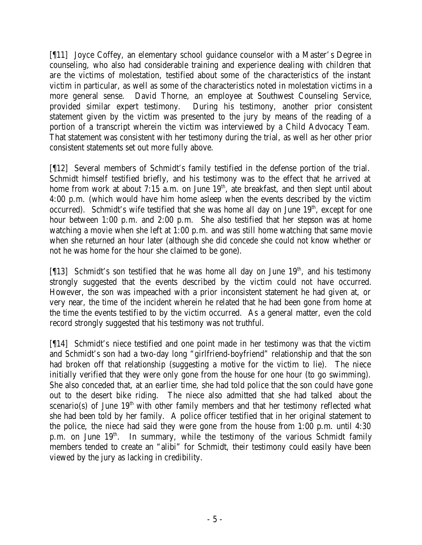[¶11] Joyce Coffey, an elementary school guidance counselor with a Master's Degree in counseling, who also had considerable training and experience dealing with children that are the victims of molestation, testified about some of the characteristics of the instant victim in particular, as well as some of the characteristics noted in molestation victims in a more general sense. David Thorne, an employee at Southwest Counseling Service, provided similar expert testimony. During his testimony, another prior consistent statement given by the victim was presented to the jury by means of the reading of a portion of a transcript wherein the victim was interviewed by a Child Advocacy Team. That statement was consistent with her testimony during the trial, as well as her other prior consistent statements set out more fully above.

[¶12] Several members of Schmidt's family testified in the defense portion of the trial. Schmidt himself testified briefly, and his testimony was to the effect that he arrived at home from work at about  $7:15$  a.m. on June  $19<sup>th</sup>$ , ate breakfast, and then slept until about 4:00 p.m. (which would have him home asleep when the events described by the victim occurred). Schmidt's wife testified that she was home all day on June  $19<sup>th</sup>$ , except for one hour between 1:00 p.m. and 2:00 p.m. She also testified that her stepson was at home watching a movie when she left at 1:00 p.m. and was still home watching that same movie when she returned an hour later (although she did concede she could not know whether or not he was home for the hour she claimed to be gone).

[ $[13]$ ] Schmidt's son testified that he was home all day on June 19<sup>th</sup>, and his testimony strongly suggested that the events described by the victim could not have occurred. However, the son was impeached with a prior inconsistent statement he had given at, or very near, the time of the incident wherein he related that he had been gone from home at the time the events testified to by the victim occurred. As a general matter, even the cold record strongly suggested that his testimony was not truthful.

[¶14] Schmidt's niece testified and one point made in her testimony was that the victim and Schmidt's son had a two-day long "girlfriend-boyfriend" relationship and that the son had broken off that relationship (suggesting a motive for the victim to lie). The niece initially verified that they were only gone from the house for one hour (to go swimming). She also conceded that, at an earlier time, she had told police that the son could have gone out to the desert bike riding. The niece also admitted that she had talked about the scenario(s) of June  $19<sup>th</sup>$  with other family members and that her testimony reflected what she had been told by her family. A police officer testified that in her original statement to the police, the niece had said they were gone from the house from 1:00 p.m. until 4:30 p.m. on June  $19<sup>th</sup>$ . In summary, while the testimony of the various Schmidt family members tended to create an "alibi" for Schmidt, their testimony could easily have been viewed by the jury as lacking in credibility.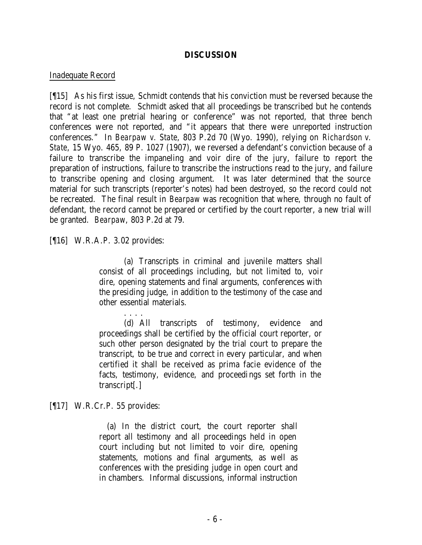## **DISCUSSION**

## Inadequate Record

[¶15] As his first issue, Schmidt contends that his conviction must be reversed because the record is not complete. Schmidt asked that all proceedings be transcribed but he contends that "at least one pretrial hearing or conference" was not reported, that three bench conferences were not reported, and "it appears that there were unreported instruction conferences." In *Bearpaw v. State*, 803 P.2d 70 (Wyo. 1990), relying on *Richardson v. State*, 15 Wyo. 465, 89 P. 1027 (1907), we reversed a defendant's conviction because of a failure to transcribe the impaneling and voir dire of the jury, failure to report the preparation of instructions, failure to transcribe the instructions read to the jury, and failure to transcribe opening and closing argument. It was later determined that the source material for such transcripts (reporter's notes) had been destroyed, so the record could not be recreated. The final result in *Bearpaw* was recognition that where, through no fault of defendant, the record cannot be prepared or certified by the court reporter, a new trial will be granted. *Bearpaw*, 803 P.2d at 79.

## [¶16] W.R.A.P. 3.02 provides:

(a) Transcripts in criminal and juvenile matters shall consist of all proceedings including, but not limited to, voir dire, opening statements and final arguments, conferences with the presiding judge, in addition to the testimony of the case and other essential materials.

. . . . (d) All transcripts of testimony, evidence and proceedings shall be certified by the official court reporter, or such other person designated by the trial court to prepare the transcript, to be true and correct in every particular, and when certified it shall be received as prima facie evidence of the facts, testimony, evidence, and proceedings set forth in the transcript[.]

[¶17] W.R.Cr.P. 55 provides:

 (a) In the district court, the court reporter shall report all testimony and all proceedings held in open court including but not limited to voir dire, opening statements, motions and final arguments, as well as conferences with the presiding judge in open court and in chambers. Informal discussions, informal instruction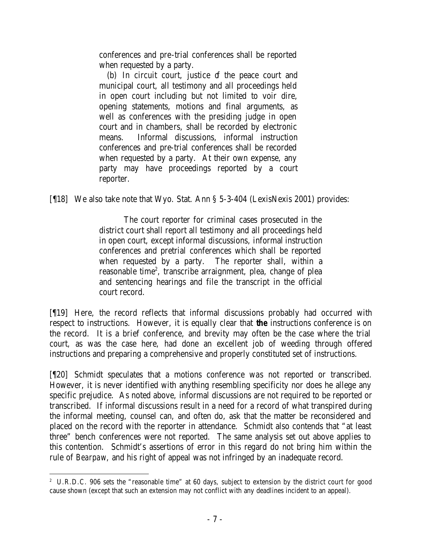conferences and pre-trial conferences shall be reported when requested by a party.

(b) In circuit court, justice of the peace court and municipal court, all testimony and all proceedings held in open court including but not limited to voir dire, opening statements, motions and final arguments, as well as conferences with the presiding judge in open court and in chambers, shall be recorded by electronic means. Informal discussions, informal instruction conferences and pre-trial conferences shall be recorded when requested by a party. At their own expense, any party may have proceedings reported by a court reporter.

[¶18] We also take note that Wyo. Stat. Ann § 5-3-404 (LexisNexis 2001) provides:

The court reporter for criminal cases prosecuted in the district court shall report all testimony and all proceedings held in open court, except informal discussions, informal instruction conferences and pretrial conferences which shall be reported when requested by a party. The reporter shall, within a reasonable time<sup>2</sup>, transcribe arraignment, plea, change of plea and sentencing hearings and file the transcript in the official court record.

[¶19] Here, the record reflects that informal discussions probably had occurred with respect to instructions. However, it is equally clear that *the* instructions conference is on the record. It is a brief conference, and brevity may often be the case where the trial court, as was the case here, had done an excellent job of weeding through offered instructions and preparing a comprehensive and properly constituted set of instructions.

[¶20] Schmidt speculates that a motions conference was not reported or transcribed. However, it is never identified with anything resembling specificity nor does he allege any specific prejudice. As noted above, informal discussions are not required to be reported or transcribed. If informal discussions result in a need for a record of what transpired during the informal meeting, counsel can, and often do, ask that the matter be reconsidered and placed on the record with the reporter in attendance. Schmidt also contends that "at least three" bench conferences were not reported. The same analysis set out above applies to this contention. Schmidt's assertions of error in this regard do not bring him within the rule of *Bearpaw*, and his right of appeal was not infringed by an inadequate record.

 <sup>2</sup> U.R.D.C. 906 sets the "reasonable time" at 60 days, subject to extension by the district court for good cause shown (except that such an extension may not conflict with any deadlines incident to an appeal).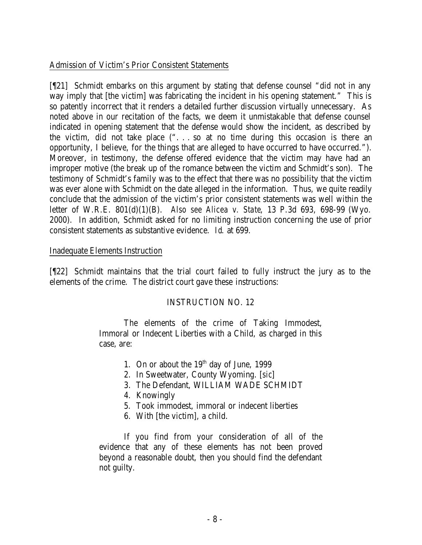## Admission of Victim's Prior Consistent Statements

[¶21] Schmidt embarks on this argument by stating that defense counsel "did not in any way imply that [the victim] was fabricating the incident in his opening statement." This is so patently incorrect that it renders a detailed further discussion virtually unnecessary. As noted above in our recitation of the facts, we deem it unmistakable that defense counsel indicated in opening statement that the defense would show the incident, as described by the victim, did not take place (". . . so at no time during this occasion is there an opportunity, I believe, for the things that are alleged to have occurred to have occurred."). Moreover, in testimony, the defense offered evidence that the victim may have had an improper motive (the break up of the romance between the victim and Schmidt's son). The testimony of Schmidt's family was to the effect that there was no possibility that the victim was ever alone with Schmidt on the date alleged in the information. Thus, we quite readily conclude that the admission of the victim's prior consistent statements was well within the letter of W.R.E. 801(d)(1)(B). *Also see Alicea v. State*, 13 P.3d 693, 698-99 (Wyo. 2000). In addition, Schmidt asked for no limiting instruction concerning the use of prior consistent statements as substantive evidence. *Id*. at 699.

## Inadequate Elements Instruction

[¶22] Schmidt maintains that the trial court failed to fully instruct the jury as to the elements of the crime. The district court gave these instructions:

## INSTRUCTION NO. 12

The elements of the crime of Taking Immodest, Immoral or Indecent Liberties with a Child, as charged in this case, are:

- 1. On or about the  $19<sup>th</sup>$  day of June, 1999
- 2. In Sweetwater, County Wyoming. [*sic*]
- 3. The Defendant, WILLIAM WADE SCHMIDT
- 4. Knowingly
- 5. Took immodest, immoral or indecent liberties
- 6. With [the victim], a child.

If you find from your consideration of all of the evidence that any of these elements has not been proved beyond a reasonable doubt, then you should find the defendant not guilty.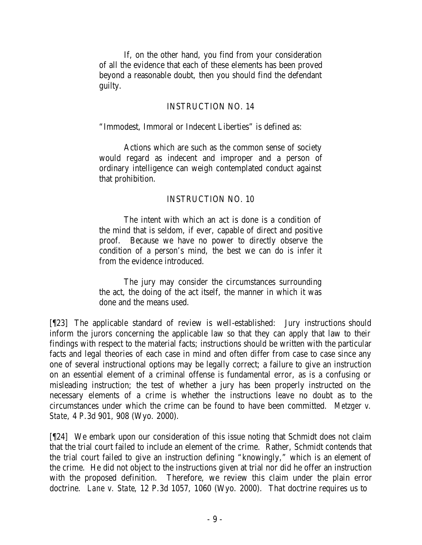If, on the other hand, you find from your consideration of all the evidence that each of these elements has been proved beyond a reasonable doubt, then you should find the defendant guilty.

## INSTRUCTION NO. 14

"Immodest, Immoral or Indecent Liberties" is defined as:

Actions which are such as the common sense of society would regard as indecent and improper and a person of ordinary intelligence can weigh contemplated conduct against that prohibition.

# INSTRUCTION NO. 10

The intent with which an act is done is a condition of the mind that is seldom, if ever, capable of direct and positive proof. Because we have no power to directly observe the condition of a person's mind, the best we can do is infer it from the evidence introduced.

The jury may consider the circumstances surrounding the act, the doing of the act itself, the manner in which it was done and the means used.

[¶23] The applicable standard of review is well-established: Jury instructions should inform the jurors concerning the applicable law so that they can apply that law to their findings with respect to the material facts; instructions should be written with the particular facts and legal theories of each case in mind and often differ from case to case since any one of several instructional options may be legally correct; a failure to give an instruction on an essential element of a criminal offense is fundamental error, as is a confusing or misleading instruction; the test of whether a jury has been properly instructed on the necessary elements of a crime is whether the instructions leave no doubt as to the circumstances under which the crime can be found to have been committed. *Metzger v. State*, 4 P.3d 901, 908 (Wyo. 2000).

[¶24] We embark upon our consideration of this issue noting that Schmidt does not claim that the trial court failed to include an element of the crime. Rather, Schmidt contends that the trial court failed to give an instruction defining "knowingly," which is an element of the crime. He did not object to the instructions given at trial nor did he offer an instruction with the proposed definition. Therefore, we review this claim under the plain error doctrine. *Lane v. State*, 12 P.3d 1057, 1060 (Wyo. 2000). That doctrine requires us to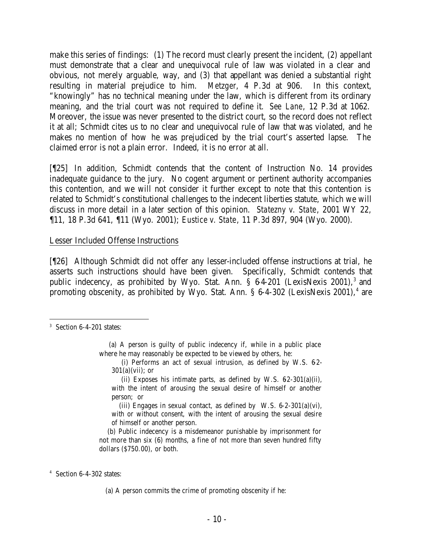make this series of findings: (1) The record must clearly present the incident, (2) appellant must demonstrate that a clear and unequivocal rule of law was violated in a clear and obvious, not merely arguable, way, and (3) that appellant was denied a substantial right resulting in material prejudice to him. *Metzger*, 4 P.3d at 906. In this context, "knowingly" has no technical meaning under the law, which is different from its ordinary meaning, and the trial court was not required to define it. *See Lane*, 12 P.3d at 1062. Moreover, the issue was never presented to the district court, so the record does not reflect it at all; Schmidt cites us to no clear and unequivocal rule of law that was violated, and he makes no mention of how he was prejudiced by the trial court's asserted lapse. The claimed error is not a plain error. Indeed, it is no error at all.

[¶25] In addition, Schmidt contends that the content of Instruction No. 14 provides inadequate guidance to the jury. No cogent argument or pertinent authority accompanies this contention, and we will not consider it further except to note that this contention is related to Schmidt's constitutional challenges to the indecent liberties statute, which we will discuss in more detail in a later section of this opinion. *Statezny v. State*, 2001 WY 22, ¶11, 18 P.3d 641, ¶11 (Wyo. 2001); *Eustice v. State*, 11 P.3d 897, 904 (Wyo. 2000).

## Lesser Included Offense Instructions

[¶26] Although Schmidt did not offer any lesser-included offense instructions at trial, he asserts such instructions should have been given. Specifically, Schmidt contends that public indecency, as prohibited by Wyo. Stat. Ann.  $\S$  64-201 (LexisNexis 2001),<sup>3</sup> and promoting obscenity, as prohibited by Wyo. Stat. Ann. § 6-4-302 (LexisNexis 2001),<sup>4</sup> are

(ii) Exposes his intimate parts, as defined by W.S.  $62-301(a)(ii)$ , with the intent of arousing the sexual desire of himself or another person; or

(iii) Engages in sexual contact, as defined by W.S.  $6-2-301(a)(vi)$ , with or without consent, with the intent of arousing the sexual desire of himself or another person.

 (b) Public indecency is a misdemeanor punishable by imprisonment for not more than six (6) months, a fine of not more than seven hundred fifty dollars (\$750.00), or both.

4 Section 6-4-302 states:

(a) A person commits the crime of promoting obscenity if he:

<sup>3</sup> Section 6-4-201 states:

 <sup>(</sup>a) A person is guilty of public indecency if, while in a public place where he may reasonably be expected to be viewed by others, he:

<sup>(</sup>i) Performs an act of sexual intrusion, as defined by W.S.  $62 301(a)(vii)$ ; or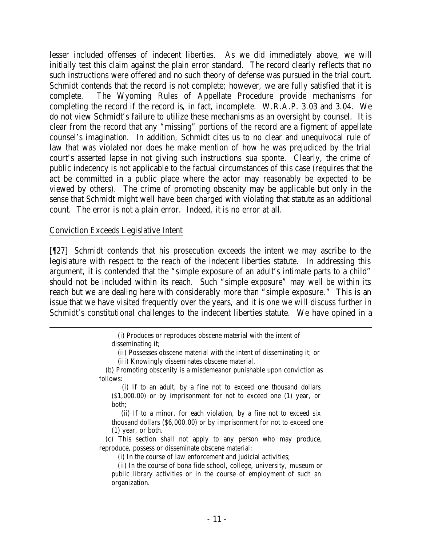lesser included offenses of indecent liberties. As we did immediately above, we will initially test this claim against the plain error standard. The record clearly reflects that no such instructions were offered and no such theory of defense was pursued in the trial court. Schmidt contends that the record is not complete; however, we are fully satisfied that it is complete. The Wyoming Rules of Appellate Procedure provide mechanisms for completing the record if the record is, in fact, incomplete. W.R.A.P. 3.03 and 3.04. We do not view Schmidt's failure to utilize these mechanisms as an oversight by counsel. It is clear from the record that any "missing" portions of the record are a figment of appellate counsel's imagination. In addition, Schmidt cites us to no clear and unequivocal rule of law that was violated nor does he make mention of how he was prejudiced by the trial court's asserted lapse in not giving such instructions *sua sponte*. Clearly, the crime of public indecency is not applicable to the factual circumstances of this case (requires that the act be committed in a public place where the actor may reasonably be expected to be viewed by others). The crime of promoting obscenity may be applicable but only in the sense that Schmidt might well have been charged with violating that statute as an additional count. The error is not a plain error. Indeed, it is no error at all.

## Conviction Exceeds Legislative Intent

[¶27] Schmidt contends that his prosecution exceeds the intent we may ascribe to the legislature with respect to the reach of the indecent liberties statute. In addressing this argument, it is contended that the "simple exposure of an adult's intimate parts to a child" should not be included within its reach. Such "simple exposure" may well be within its reach but we are dealing here with considerably more than "simple exposure." This is an issue that we have visited frequently over the years, and it is one we will discuss further in Schmidt's constitutional challenges to the indecent liberties statute. We have opined in a

> (i) Produces or reproduces obscene material with the intent of disseminating it;

(ii) Possesses obscene material with the intent of disseminating it; or

(iii) Knowingly disseminates obscene material.

 (b) Promoting obscenity is a misdemeanor punishable upon conviction as follows:

 (i) If to an adult, by a fine not to exceed one thousand dollars (\$1,000.00) or by imprisonment for not to exceed one (1) year, or both;

 (ii) If to a minor, for each violation, by a fine not to exceed six thousand dollars (\$6,000.00) or by imprisonment for not to exceed one (1) year, or both.

 (c) This section shall not apply to any person who may produce, reproduce, possess or disseminate obscene material:

(i) In the course of law enforcement and judicial activities;

 (ii) In the course of bona fide school, college, university, museum or public library activities or in the course of employment of such an organization.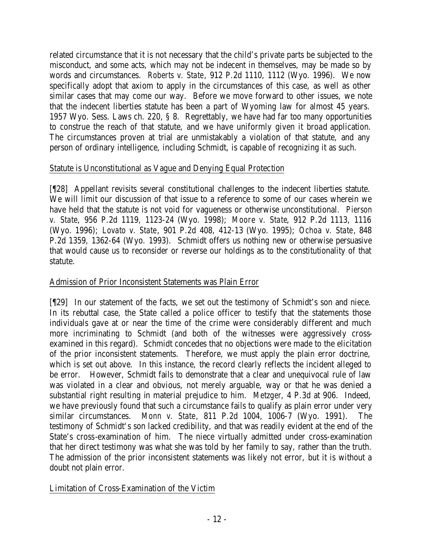related circumstance that it is not necessary that the child's private parts be subjected to the misconduct, and some acts, which may not be indecent in themselves, may be made so by words and circumstances. *Roberts v. State*, 912 P.2d 1110, 1112 (Wyo. 1996). We now specifically adopt that axiom to apply in the circumstances of this case, as well as other similar cases that may come our way. Before we move forward to other issues, we note that the indecent liberties statute has been a part of Wyoming law for almost 45 years. 1957 Wyo. Sess. Laws ch. 220, § 8. Regrettably, we have had far too many opportunities to construe the reach of that statute, and we have uniformly given it broad application. The circumstances proven at trial are unmistakably a violation of that statute, and any person of ordinary intelligence, including Schmidt, is capable of recognizing it as such.

# Statute is Unconstitutional as Vague and Denying Equal Protection

[¶28] Appellant revisits several constitutional challenges to the indecent liberties statute. We will limit our discussion of that issue to a reference to some of our cases wherein we have held that the statute is not void for vagueness or otherwise unconstitutional. *Pierson v. State*, 956 P.2d 1119, 1123-24 (Wyo. 1998); *Moore v. State*, 912 P.2d 1113, 1116 (Wyo. 1996); *Lovato v. State*, 901 P.2d 408, 412-13 (Wyo. 1995); *Ochoa v. State*, 848 P.2d 1359, 1362-64 (Wyo. 1993). Schmidt offers us nothing new or otherwise persuasive that would cause us to reconsider or reverse our holdings as to the constitutionality of that statute.

# Admission of Prior Inconsistent Statements was Plain Error

[¶29] In our statement of the facts, we set out the testimony of Schmidt's son and niece. In its rebuttal case, the State called a police officer to testify that the statements those individuals gave at or near the time of the crime were considerably different and much more incriminating to Schmidt (and both of the witnesses were aggressively crossexamined in this regard). Schmidt concedes that no objections were made to the elicitation of the prior inconsistent statements. Therefore, we must apply the plain error doctrine, which is set out above. In this instance, the record clearly reflects the incident alleged to be error. However, Schmidt fails to demonstrate that a clear and unequivocal rule of law was violated in a clear and obvious, not merely arguable, way or that he was denied a substantial right resulting in material prejudice to him. *Metzger*, 4 P.3d at 906. Indeed, we have previously found that such a circumstance fails to qualify as plain error under very similar circumstances. *Monn v. State*, 811 P.2d 1004, 1006-7 (Wyo. 1991). The testimony of Schmidt's son lacked credibility, and that was readily evident at the end of the State's cross-examination of him. The niece virtually admitted under cross-examination that her direct testimony was what she was told by her family to say, rather than the truth. The admission of the prior inconsistent statements was likely not error, but it is without a doubt not plain error.

# Limitation of Cross-Examination of the Victim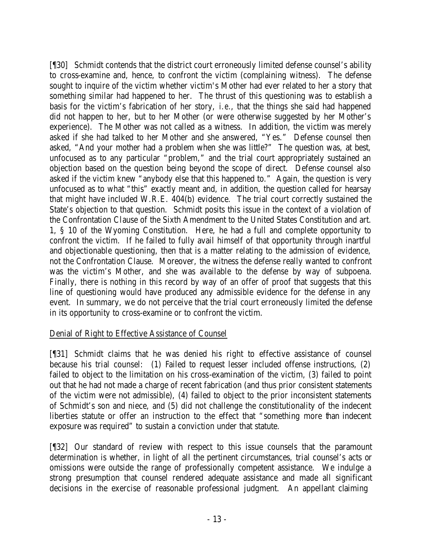[¶30] Schmidt contends that the district court erroneously limited defense counsel's ability to cross-examine and, hence, to confront the victim (complaining witness). The defense sought to inquire of the victim whether victim's Mother had ever related to her a story that something similar had happened to her. The thrust of this questioning was to establish a basis for the victim's fabrication of her story, *i.e.*, that the things she said had happened did not happen to her, but to her Mother (or were otherwise suggested by her Mother's experience). The Mother was not called as a witness. In addition, the victim was merely asked if she had talked to her Mother and she answered, "Yes." Defense counsel then asked, "And your mother had a problem when she was little?" The question was, at best, unfocused as to any particular "problem," and the trial court appropriately sustained an objection based on the question being beyond the scope of direct. Defense counsel also asked if the victim knew "anybody else that this happened to." Again, the question is very unfocused as to what "this" exactly meant and, in addition, the question called for hearsay that might have included W.R.E. 404(b) evidence. The trial court correctly sustained the State's objection to that question. Schmidt posits this issue in the context of a violation of the Confrontation Clause of the Sixth Amendment to the United States Constitution and art. 1, § 10 of the Wyoming Constitution. Here, he had a full and complete opportunity to confront the victim. If he failed to fully avail himself of that opportunity through inartful and objectionable questioning, then that is a matter relating to the admission of evidence, not the Confrontation Clause. Moreover, the witness the defense really wanted to confront was the victim's Mother, and she was available to the defense by way of subpoena. Finally, there is nothing in this record by way of an offer of proof that suggests that this line of questioning would have produced any admissible evidence for the defense in any event. In summary, we do not perceive that the trial court erroneously limited the defense in its opportunity to cross-examine or to confront the victim.

## Denial of Right to Effective Assistance of Counsel

[¶31] Schmidt claims that he was denied his right to effective assistance of counsel because his trial counsel: (1) Failed to request lesser included offense instructions, (2) failed to object to the limitation on his cross-examination of the victim, (3) failed to point out that he had not made a charge of recent fabrication (and thus prior consistent statements of the victim were not admissible), (4) failed to object to the prior inconsistent statements of Schmidt's son and niece, and (5) did not challenge the constitutionality of the indecent liberties statute or offer an instruction to the effect that "something more than indecent exposure was required" to sustain a conviction under that statute.

[¶32] Our standard of review with respect to this issue counsels that the paramount determination is whether, in light of all the pertinent circumstances, trial counsel's acts or omissions were outside the range of professionally competent assistance. We indulge a strong presumption that counsel rendered adequate assistance and made all significant decisions in the exercise of reasonable professional judgment. An appellant claiming